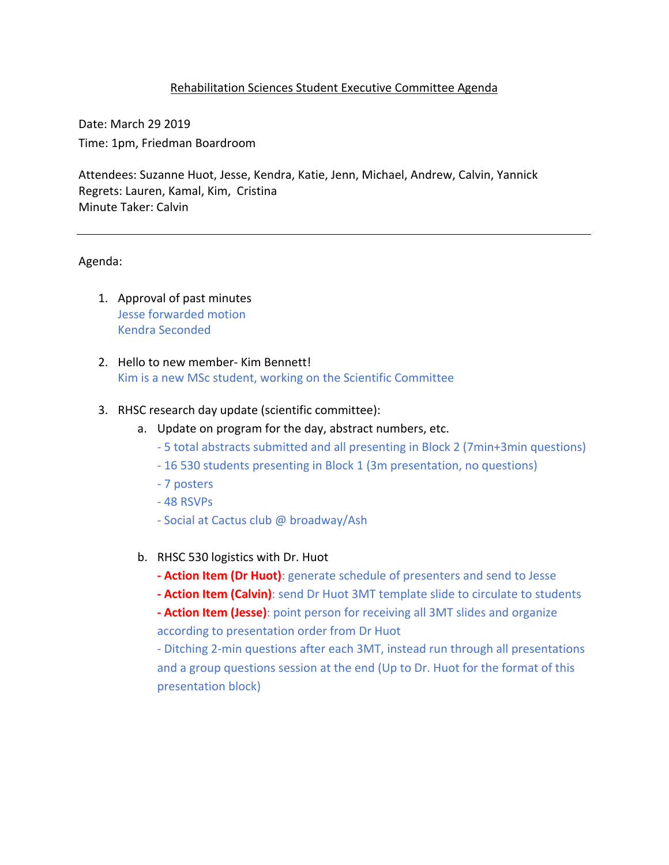#### Rehabilitation Sciences Student Executive Committee Agenda

Date: March 29 2019 Time: 1pm, Friedman Boardroom

Attendees: Suzanne Huot, Jesse, Kendra, Katie, Jenn, Michael, Andrew, Calvin, Yannick Regrets: Lauren, Kamal, Kim, Cristina Minute Taker: Calvin

#### Agenda:

- 1. Approval of past minutes Jesse forwarded motion Kendra Seconded
- 2. Hello to new member- Kim Bennett! Kim is a new MSc student, working on the Scientific Committee

#### 3. RHSC research day update (scientific committee):

- a. Update on program for the day, abstract numbers, etc.
	- 5 total abstracts submitted and all presenting in Block 2 (7min+3min questions)
	- 16 530 students presenting in Block 1 (3m presentation, no questions)
	- 7 posters
	- 48 RSVPs
	- Social at Cactus club @ broadway/Ash
- b. RHSC 530 logistics with Dr. Huot
	- **- Action Item (Dr Huot)**: generate schedule of presenters and send to Jesse
	- **- Action Item (Calvin)**: send Dr Huot 3MT template slide to circulate to students

**- Action Item (Jesse)**: point person for receiving all 3MT slides and organize according to presentation order from Dr Huot

- Ditching 2-min questions after each 3MT, instead run through all presentations and a group questions session at the end (Up to Dr. Huot for the format of this presentation block)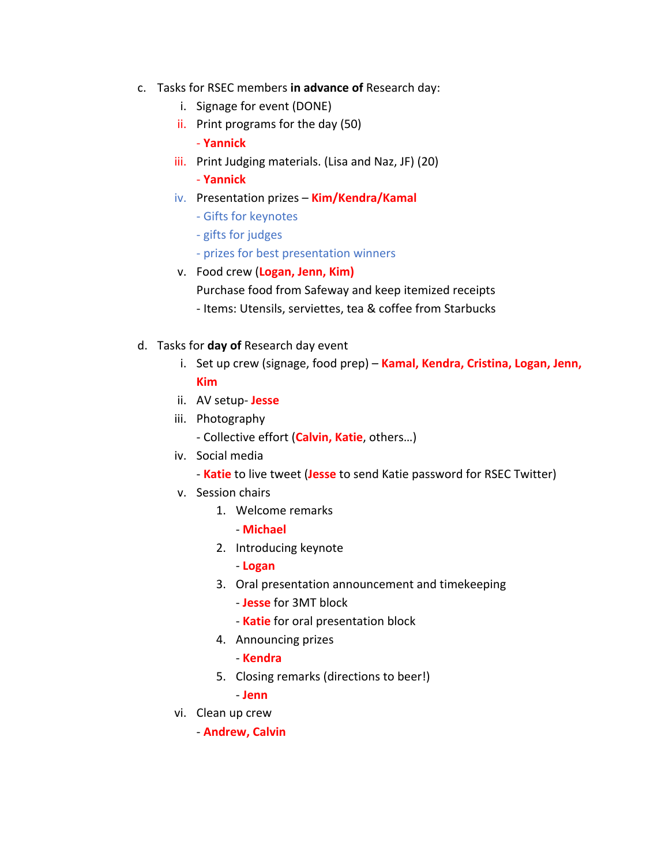- c. Tasks for RSEC members **in advance of** Research day:
	- i. Signage for event (DONE)
	- ii. Print programs for the day (50)
		- **Yannick**
	- iii. Print Judging materials. (Lisa and Naz, JF) (20)
		- **Yannick**
	- iv. Presentation prizes **Kim/Kendra/Kamal**
		- Gifts for keynotes
		- gifts for judges
		- prizes for best presentation winners
	- v. Food crew (**Logan, Jenn, Kim)**
		- Purchase food from Safeway and keep itemized receipts
		- Items: Utensils, serviettes, tea & coffee from Starbucks
- d. Tasks for **day of** Research day event
	- i. Set up crew (signage, food prep) **Kamal, Kendra, Cristina, Logan, Jenn, Kim**
	- ii. AV setup- **Jesse**
	- iii. Photography
		- Collective effort (**Calvin, Katie**, others…)
	- iv. Social media
		- **Katie** to live tweet (**Jesse** to send Katie password for RSEC Twitter)
	- v. Session chairs
		- 1. Welcome remarks
			- **Michael**
		- 2. Introducing keynote
			- **Logan**
		- 3. Oral presentation announcement and timekeeping
			- **Jesse** for 3MT block
			- **Katie** for oral presentation block
		- 4. Announcing prizes
			- **Kendra**
		- 5. Closing remarks (directions to beer!)
			- **Jenn**
	- vi. Clean up crew
		- **Andrew, Calvin**